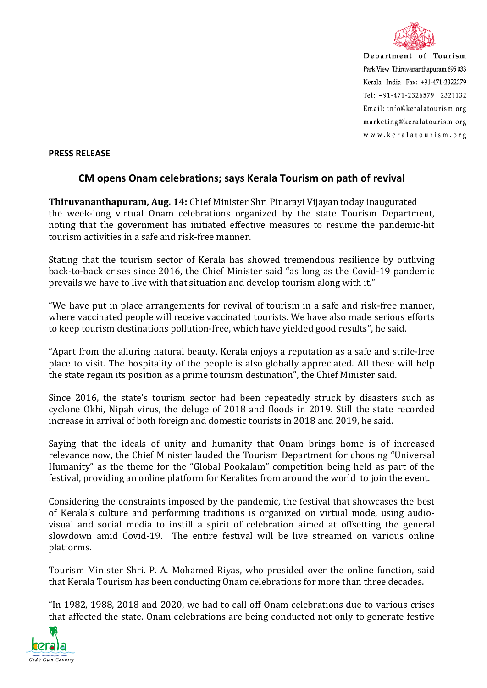

Department of Tourism Park View Thiruvananthapuram 695 033 Kerala India Fax: +91-471-2322279  $Tel: +91-471-2326579$  2321132 Email: info@keralatourism.org marketing@keralatourism.org www.keralatourism.org

## **PRESS RELEASE**

## **CM opens Onam celebrations; says Kerala Tourism on path of revival**

**Thiruvananthapuram, Aug. 14:** Chief Minister Shri Pinarayi Vijayan today inaugurated the week-long virtual Onam celebrations organized by the state Tourism Department, noting that the government has initiated effective measures to resume the pandemic-hit tourism activities in a safe and risk-free manner.

Stating that the tourism sector of Kerala has showed tremendous resilience by outliving back-to-back crises since 2016, the Chief Minister said "as long as the Covid-19 pandemic prevails we have to live with that situation and develop tourism along with it."

"We have put in place arrangements for revival of tourism in a safe and risk-free manner, where vaccinated people will receive vaccinated tourists. We have also made serious efforts to keep tourism destinations pollution-free, which have yielded good results", he said.

"Apart from the alluring natural beauty, Kerala enjoys a reputation as a safe and strife-free place to visit. The hospitality of the people is also globally appreciated. All these will help the state regain its position as a prime tourism destination", the Chief Minister said.

Since 2016, the state's tourism sector had been repeatedly struck by disasters such as cyclone Okhi, Nipah virus, the deluge of 2018 and floods in 2019. Still the state recorded increase in arrival of both foreign and domestic tourists in 2018 and 2019, he said.

Saying that the ideals of unity and humanity that Onam brings home is of increased relevance now, the Chief Minister lauded the Tourism Department for choosing "Universal Humanity" as the theme for the "Global Pookalam" competition being held as part of the festival, providing an online platform for Keralites from around the world to join the event.

Considering the constraints imposed by the pandemic, the festival that showcases the best of Kerala's culture and performing traditions is organized on virtual mode, using audiovisual and social media to instill a spirit of celebration aimed at offsetting the general slowdown amid Covid-19. The entire festival will be live streamed on various online platforms.

Tourism Minister Shri. P. A. Mohamed Riyas, who presided over the online function, said that Kerala Tourism has been conducting Onam celebrations for more than three decades.

"In 1982, 1988, 2018 and 2020, we had to call off Onam celebrations due to various crises that affected the state. Onam celebrations are being conducted not only to generate festive